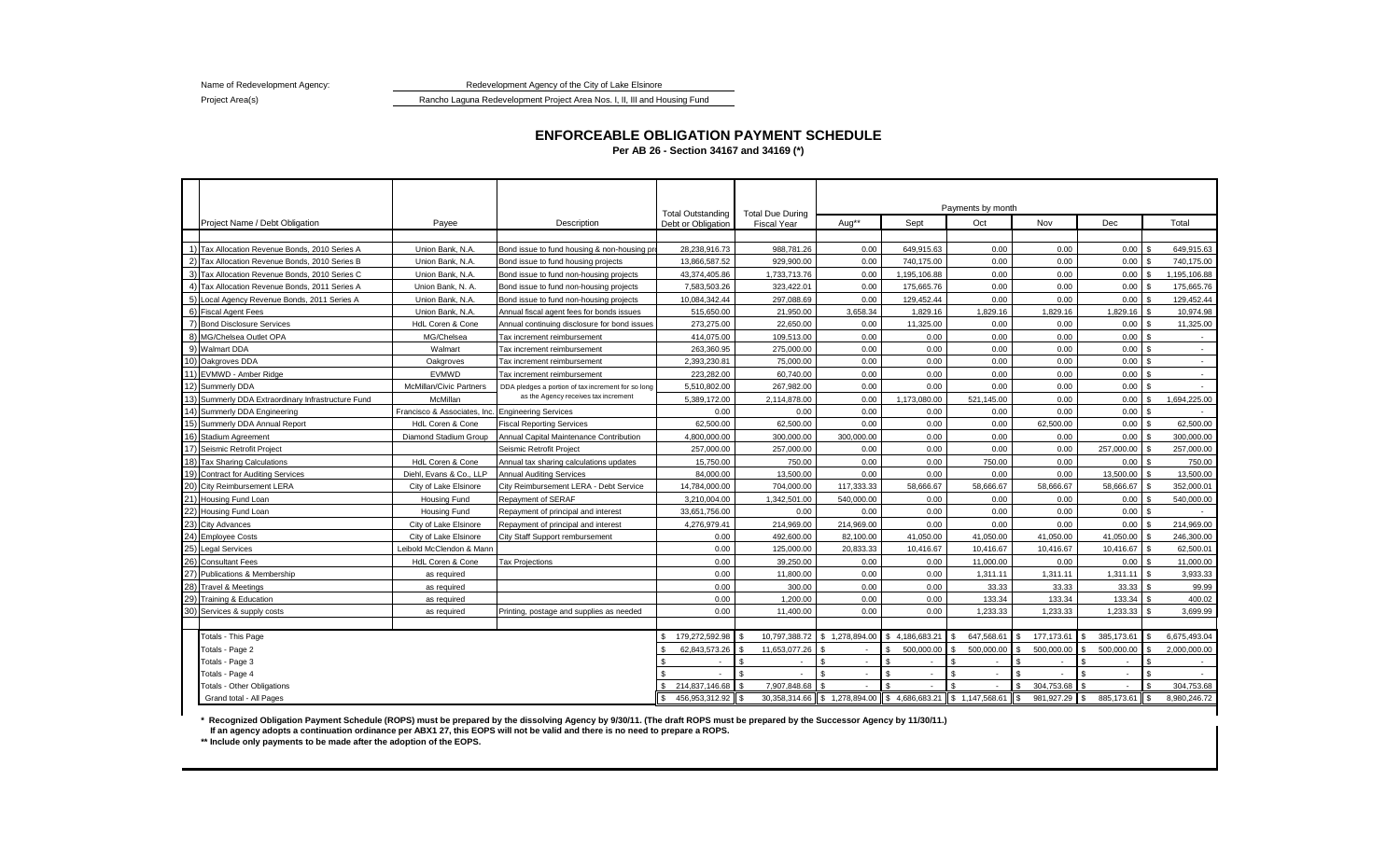Redevelopment Agency of the City of Lake Elsinore

Name of Redevelopment Agency: Project Area(s)

Rancho Laguna Redevelopment Project Area Nos. I, II, III and Housing Fund

## Project Name / Debt Obligation Novall Devel Payee Name of Description Debt or Obligation Fiscal Year Aug\*\* Noval Oct Noval Dec Total 1) Tax Allocation Revenue Bonds, 2010 Series A Union Bank, N.A. Bond issue to fund housing & non-housing projects 28,238,916.73 988,781.26 0.00 649,915.63 0.00 0.00 0.00 \$ 649,915.63 2) Tax Allocation Revenue Bonds, 2010 Series B Union Bank, N.A. Bond issue to fund housing projects 13,866,587.52 929,900.00 0.00 740,175.00 0.00 0.00 0.00 \$ 740,175.00 3) Tax Allocation Revenue Bonds, 2010 Series C Union Bank, N.A. Bond issue to fund non-housing projects 43,374,405.86 1,733,713.76 0.00 1,195,106.88 0.00 0.00 0.00 \$ 1,195,106.88 4) Tax Allocation Revenue Bonds, 2011 Series A Union Bank, N. A. Bond issue to fund non-housing projects 7,583,503.26 323,422.01 0.00 175,665.76 0.00 0.00 0.00 0.00 0.00 0.00 0.00 175,665.76 5) Local Agency Revenue Bonds, 2011 Series A Union Bank, N.A. Bond issue to fund non-housing projects 10,084,342.44 297,088.69 0.00 129,452.44 0.00 0.00 0.00 \$ 129,452.44 6) Fiscal Agent Fees 
Bunion Bank, N.A. Annual fiscal agent fees for bonds issues | 515,650.00 3,658.34 | 1,829.16 | 1,829.16 | 1,829.16 | 1,829.16 | 1,829.16 | 1,829.16 | 1,829.16 | 1,829.16 | 1,829.16 | 1,829.16 | 1,829. 7) Bond Disclosure Services HdL Coren & Cone Annual continuing disclosure for bond issues 273,275.00 22,650.00 0.00 11,325.00 0.00 0.00 0.00 \$ 11,325.00 8) MG/Chelsea Outlet OPA MG/Chelsea |Tax increment reimbursement | 414,075.00 | 109,513.00 | 0.00 | 0.00 | 0.00 | 0.00 | 0.00 | 0.00 | 0.00 | 0.00 | 0.00 | 0.00 | 0 9) [Walmart DDA | Walmart |Tax increment reimbursement | 263,360.95 | 275,000.00 | 0.00 | 0.00 | 0.00 | 0.00 | 0.00 | 0.00 | \$ -10) Oakgroves DDA Oakgroves Tax increment reimbursement 2,393,230.81 75,000.00 0.00 0.00 0.00 0.00 0.00 \$ - 11) EVMWD - Amber Ridge EVMWD Tax increment reimbursement 223,282.00 60,740.00 | 0.00 | 0.00 | 0.00 | 0.00 | 0.00 | 0.00 | 0.00 | 0.00 | 0.00 | 0.00 | 0.00 | 12) Summerly DDA McMillan/Civic Partners DDA pledges a portion of tax increment for so long | 5,510,802.00 | 267,982.00 | 0.00 | 0.00 | 0.00 | 0.00 | 0.00 | 0.00 | 0.00 | 0.00 | 0.00 | 5 13) Summerly DDA Extraordinary Infrastructure Fund McMillan 5,389,172.00 2,114,878.00 0.00 1,173,080.00 521,145.00 0.00 0.00 \$ 1,694,225.00 14) Summerly DDA Engineering Francisco & Associates, Inc. Engineering Services 0.00 0.00 0.00 0.00 0.00 0.00 0.00 \$ - 15) Summerly DDA Annual Report Cone HdL Coren & Cone Fiscal Reporting Services | 62,500.00 62,500.00 62,500.00 0.00 0.00 62,500.00 0.00 62,500.00 0.00 62,500.00 0.00 62,500.00 0.00 62,500.00 0.00 0.00 0.00 62,500.00 0.00 0 16) Stadium Agreement Diamond Stadium Group Annual Capital Maintenance Contribution 4,800,000.00 300,000.00 300,000.00 0.00 0.00 0.00 0.00 \$ 300,000.00 17) Seismic Retrofit Project 257,000.00 | Seismic Retrofit Project | 257,000.00 257,000.00 0.00 0.00 0.00 0.00 0.00 257,000.00 3 257,000.00 18) Tax Sharing Calculations HdL Coren & Cone Annual tax sharing calculations updates 15,750.00 750.00 0.00 0.00 750.00 0.00 0.00 \$ 750.00 19) Contract for Auditing Services **Diehl, Evans & Co., LLP Annual Auditing Services** | 84,000.00 | 13,500.00 | 0.00 | 0.00 | 0.00 | 13,500.00 | \$ 13,500.00 20) City Reimbursement LERA 666.67 S8,666.67 S8,666.67 S8,666.67 S8,666.67 S8,666.67 S8,666.67 S8,666.67 S8,666.67 S8,666.67 S8,666.67 S8,666.67 S8,666.67 S8,666.67 S8,666.67 S8,666.67 S8,666.67 S8,666.67 S8,666.67 S8,666. 21) Housing Fund Loan Housing Fund Repayment of SERAF 3,210,004.00 | 1,342,501.00 | 540,000.00 | 0.00 | 0.00 | 0.00 | 0.00 | 540,000.00 22) Housing Fund Loan Housing Fund Repayment of principal and interest 33,651,756.00 0.00 0.00 0.00 0.00 0.00 0.00 \$ - 23) City Advances City of Lake Elsinore Repayment of principal and interest 4,276,979.41 214,969.00 214,969.00 0.00 0.00 0.00 0.00 \$ 214,969.00 24) Employee Costs Costs City of Lake Elsinore City Staff Support rembursement 1 0.00 492,600.00 41,050.00 41,050.00 41,050.00 41,050.00 41,050.00 41,050.00 41,050.00 41,050.00 41,050.00 41,050.00 41,050.00 5 246,300.00 25) Legal Services Leibold McClendon & Mann 0.00 125,000.00 20,833.33 10,416.67 10,416.67 10,416.67 10,416.67 \$ 62,500.01 26)|Consultant Fees | HdL Coren & Cone |Tax Projections | 0.00 | 39,250.00 | 0.00 | 0.00 | 0.00 | 0.00 | 0.00 | 0.00 | 11,000.00 27) Publications & Membership and as required the second one or the conduction of the conductions of the conductions of the conductions of the conductions of the conductions of the conductions of the conductions of the con 28) Travel & Meetings as required 0.00 | 300.00 | 0.00 | 33.33 | 33.33 | 33.33 | 33.33 | 39.99 29) Training & Education as required 0.00 1,200.00 0.00 0.00 133.34 133.34 133.34 \$ 400.02 30) Services & supply costs Printing, postage and supplies as needed 0.00 1,400.00 0.00 1,233.33 1,233.33 1,233.33 1,233.33 1,233.33 1,233.33 1,233.33 1,233.33 Totals - This Page \$ 179,272,592.98 \$ 10,797,388.72 \$ 1,278,894.00 \$ 4,186,683.21 \$ 647,568.61 \$ 177,173.61 \$ 385,173.61 \$ 6,675,493.04 Totals - Page 2 \$ 62,843,573.26 \$ 11,653,077.26 \$ - \$ 500,000.00 \$ 500,000.00 \$ 500,000.00 \$ 500,000.00 \$ 2,000,000.00 Totals - Page 3 \$ - \$ - \$ - \$ - \$ - \$ - \$ - \$ - Totals - Page 4 \$ - \$ - \$ - \$ - \$ - \$ - \$ - \$ - Totals - Other Obligations \$ 214,837,146.68 \$ 7,907,848.68 \$ - \$ - \$ - \$ 304,753.68 \$ - \$ 304,753.68 Grand total - All Pages \$ 456,953,312.92 \$ 30,358,314.66 \$ 1,278,894.00 \$ 4,686,683.21 \$ 1,147,568.61 \$ 981,927.29 \$ 885,173.61 \$ 8,980,246.72 Total Outstanding Debt or Obligation Total Due During Fiscal Year as the Agency receives tax increment Payments by month

**ENFORCEABLE OBLIGATION PAYMENT SCHEDULE**

**Per AB 26 - Section 34167 and 34169 (\*)**

**\* Recognized Obligation Payment Schedule (ROPS) must be prepared by the dissolving Agency by 9/30/11. (The draft ROPS must be prepared by the Successor Agency by 11/30/11.)**

 **If an agency adopts a continuation ordinance per ABX1 27, this EOPS will not be valid and there is no need to prepare a ROPS.**

**\*\* Include only payments to be made after the adoption of the EOPS.**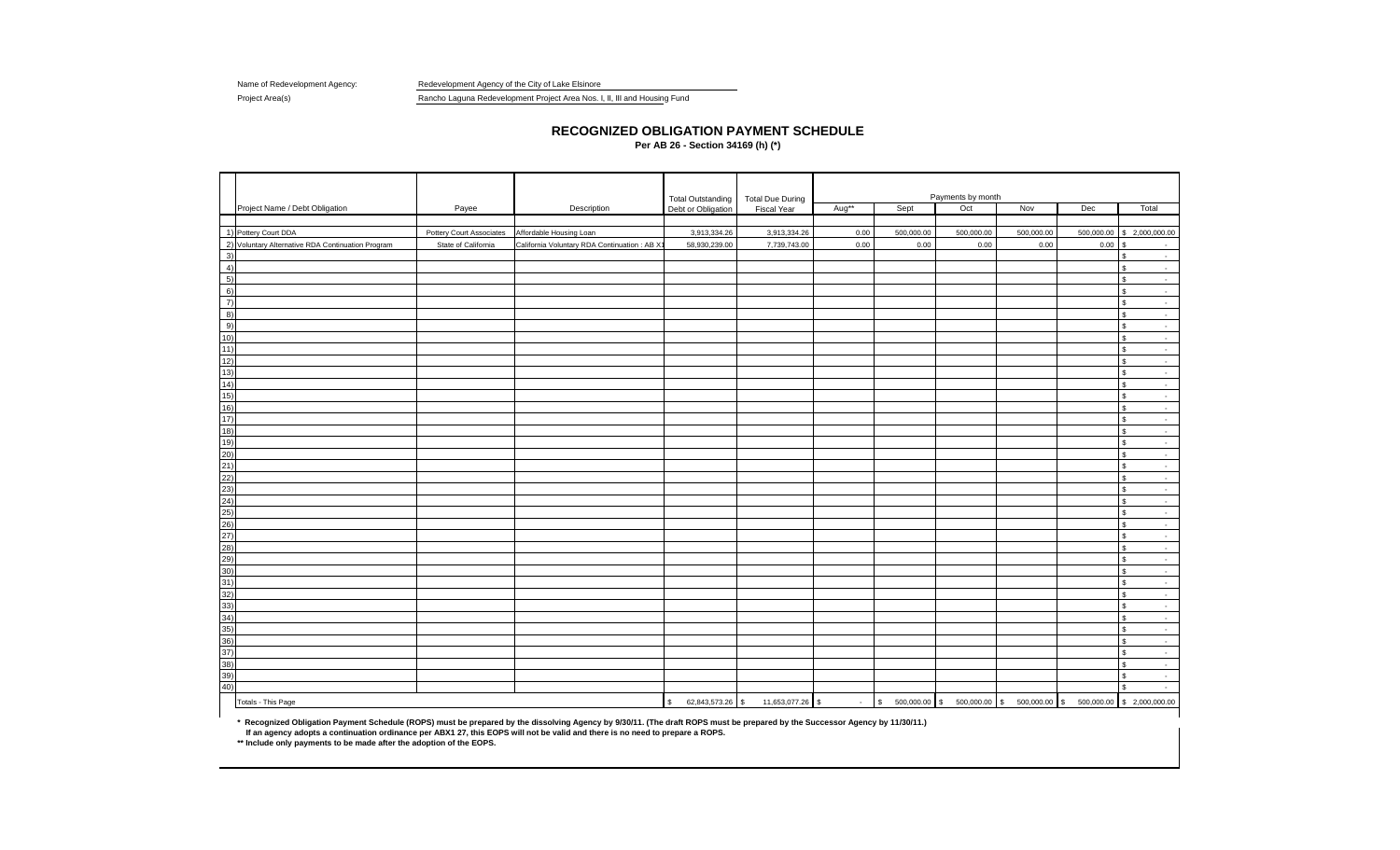Name of Redevelopment Agency: Redevelopment Agency of the City of Lake Elsinore

Project Area(s) Rancho Laguna Redevelopment Project Area Nos. I, II, III and Housing Fund

## **RECOGNIZED OBLIGATION PAYMENT SCHEDULE**

**Per AB 26 - Section 34169 (h) (\*)**

|            |                                                   |                          |                                              | <b>Total Outstanding</b>         | <b>Total Due During</b> |                   |                                 | Payments by month |            |              |                                    |  |
|------------|---------------------------------------------------|--------------------------|----------------------------------------------|----------------------------------|-------------------------|-------------------|---------------------------------|-------------------|------------|--------------|------------------------------------|--|
|            | Project Name / Debt Obligation                    | Payee                    | Description                                  | Debt or Obligation               | Fiscal Year             | Aug <sup>**</sup> | Sept                            | Oct               | Nov        | Dec          | Total                              |  |
|            |                                                   |                          |                                              |                                  |                         |                   |                                 |                   |            |              |                                    |  |
|            | 1) Pottery Court DDA                              | Pottery Court Associates | Affordable Housing Loan                      | 3,913,334.26                     | 3,913,334.26            | 0.00              | 500,000.00                      | 500,000.00        | 500,000.00 | 500,000.00   | \$2,000,000.00                     |  |
|            | 2) Voluntary Alternative RDA Continuation Program | State of California      | California Voluntary RDA Continuation : AB X | 58,930,239.00                    | 7,739,743.00            | 0.00              | 0.00                            | 0.00              | 0.00       | $0.00$ \$    | $\sim$                             |  |
| 3)         |                                                   |                          |                                              |                                  |                         |                   |                                 |                   |            |              | \$<br>$\sim$                       |  |
| 4)         |                                                   |                          |                                              |                                  |                         |                   |                                 |                   |            |              | $\mathbb S$<br>$\sim$              |  |
| 5)         |                                                   |                          |                                              |                                  |                         |                   |                                 |                   |            |              | \$<br>$\sim$                       |  |
| 6)         |                                                   |                          |                                              |                                  |                         |                   |                                 |                   |            |              | \$<br>$\sim$                       |  |
| 7)         |                                                   |                          |                                              |                                  |                         |                   |                                 |                   |            |              | \$<br>$\sim$                       |  |
| 8)         |                                                   |                          |                                              |                                  |                         |                   |                                 |                   |            |              | $$\mathbb{S}$$<br>$\sim$           |  |
| 9)         |                                                   |                          |                                              |                                  |                         |                   |                                 |                   |            |              | \$<br>$\sim$                       |  |
| 10)        |                                                   |                          |                                              |                                  |                         |                   |                                 |                   |            |              | \$<br>$\sim$                       |  |
| 11)        |                                                   |                          |                                              |                                  |                         |                   |                                 |                   |            |              | $\mathbb S$<br>$\sim$              |  |
| 12)        |                                                   |                          |                                              |                                  |                         |                   |                                 |                   |            |              | \$<br>$\sim$                       |  |
| 13)        |                                                   |                          |                                              |                                  |                         |                   |                                 |                   |            |              | $\mathbb{S}$<br>$\sim$             |  |
| 14)        |                                                   |                          |                                              |                                  |                         |                   |                                 |                   |            |              | $\mathbb S$<br>$\sim$              |  |
| 15)        |                                                   |                          |                                              |                                  |                         |                   |                                 |                   |            |              | \$<br>$\sim$                       |  |
| 16)        |                                                   |                          |                                              |                                  |                         |                   |                                 |                   |            |              | \$<br>$\sim$                       |  |
| 17)        |                                                   |                          |                                              |                                  |                         |                   |                                 |                   |            |              | \$<br>$\sim$                       |  |
| 18)        |                                                   |                          |                                              |                                  |                         |                   |                                 |                   |            |              | $\mathbb{S}$<br>$\sim$             |  |
| 19)        |                                                   |                          |                                              |                                  |                         |                   |                                 |                   |            |              | $\mathbb S$<br>$\sim$              |  |
| 20)        |                                                   |                          |                                              |                                  |                         |                   |                                 |                   |            |              | \$<br>$\sim$                       |  |
| 21)        |                                                   |                          |                                              |                                  |                         |                   |                                 |                   |            |              | \$<br>$\sim$                       |  |
| (22)       |                                                   |                          |                                              |                                  |                         |                   |                                 |                   |            |              | \$<br>$\sim$                       |  |
| (23)       |                                                   |                          |                                              |                                  |                         |                   |                                 |                   |            |              | $\mathbb{S}$<br>$\sim$             |  |
| (24)       |                                                   |                          |                                              |                                  |                         |                   |                                 |                   |            |              | \$<br>$\sim$                       |  |
| 25)        |                                                   |                          |                                              |                                  |                         |                   |                                 |                   |            |              | $\mathbb{S}$<br>$\sim$             |  |
| 26)        |                                                   |                          |                                              |                                  |                         |                   |                                 |                   |            |              | $\mathbf{s}$<br>$\sim$             |  |
| (27)       |                                                   |                          |                                              |                                  |                         |                   |                                 |                   |            |              | \$<br>$\sim$                       |  |
| (28)       |                                                   |                          |                                              |                                  |                         |                   |                                 |                   |            |              | \$<br>$\sim$                       |  |
| 29)<br>30) |                                                   |                          |                                              |                                  |                         |                   |                                 |                   |            |              | \$<br>$\mathcal{L}$                |  |
| 31)        |                                                   |                          |                                              |                                  |                         |                   |                                 |                   |            |              | \$<br>$\sim$<br>$\mathbb{S}$       |  |
| 32)        |                                                   |                          |                                              |                                  |                         |                   |                                 |                   |            |              | $\sim$<br>\$<br>$\sim$             |  |
| 33)        |                                                   |                          |                                              |                                  |                         |                   |                                 |                   |            |              | $\mathbf{s}$                       |  |
| 34)        |                                                   |                          |                                              |                                  |                         |                   |                                 |                   |            |              | $\sim$<br>$$\mathbb{S}$$<br>$\sim$ |  |
| 35)        |                                                   |                          |                                              |                                  |                         |                   |                                 |                   |            |              | $\mathbb{S}$                       |  |
| 36)        |                                                   |                          |                                              |                                  |                         |                   |                                 |                   |            |              | $\sim$<br>$\mathbf{s}$<br>$\sim$   |  |
| 37)        |                                                   |                          |                                              |                                  |                         |                   |                                 |                   |            |              | \$<br>$\sim$                       |  |
| 38)        |                                                   |                          |                                              |                                  |                         |                   |                                 |                   |            |              | \$<br>$\sim$                       |  |
| 39)        |                                                   |                          |                                              |                                  |                         |                   |                                 |                   |            |              | \$<br>$\sim$                       |  |
| 40)        |                                                   |                          |                                              |                                  |                         |                   |                                 |                   |            |              | $\sim$                             |  |
|            |                                                   |                          |                                              |                                  |                         |                   |                                 |                   |            |              |                                    |  |
|            | Totals - This Page                                |                          |                                              | $\mathbb{S}$<br>62,843,573.26 \$ | 11,653,077.26 \$        | $\sim$            | $\mathfrak{s}$<br>500,000.00 \$ | 500,000.00 \$     | 500,000.00 | $\mathbb{S}$ | 500,000.00 \$ 2,000,000.00         |  |

\* Recognized Obligation Payment Schedule (ROPS) must be prepared by the dissolving Agency by 9/30/11. (The draft ROPS must be prepared by the Successor Agency by 11/30/11.)<br> If an agency adopts a continuation ordinan